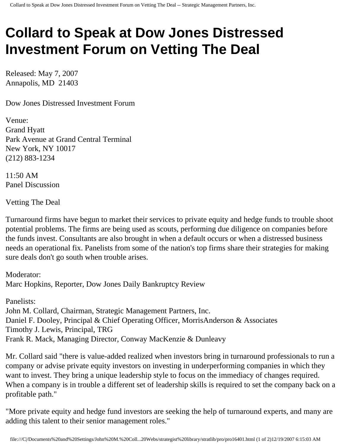## **Collard to Speak at Dow Jones Distressed Investment Forum on Vetting The Deal**

Released: May 7, 2007 Annapolis, MD 21403

Dow Jones Distressed Investment Forum

Venue: Grand Hyatt Park Avenue at Grand Central Terminal New York, NY 10017 (212) 883-1234

11:50 AM Panel Discussion

Vetting The Deal

Turnaround firms have begun to market their services to private equity and hedge funds to trouble shoot potential problems. The firms are being used as scouts, performing due diligence on companies before the funds invest. Consultants are also brought in when a default occurs or when a distressed business needs an operational fix. Panelists from some of the nation's top firms share their strategies for making sure deals don't go south when trouble arises.

Moderator: Marc Hopkins, Reporter, Dow Jones Daily Bankruptcy Review

Panelists: John M. Collard, Chairman, Strategic Management Partners, Inc. Daniel F. Dooley, Principal & Chief Operating Officer, MorrisAnderson & Associates Timothy J. Lewis, Principal, TRG Frank R. Mack, Managing Director, Conway MacKenzie & Dunleavy

Mr. Collard said "there is value-added realized when investors bring in turnaround professionals to run a company or advise private equity investors on investing in underperforming companies in which they want to invest. They bring a unique leadership style to focus on the immediacy of changes required. When a company is in trouble a different set of leadership skills is required to set the company back on a profitable path."

"More private equity and hedge fund investors are seeking the help of turnaround experts, and many are adding this talent to their senior management roles."